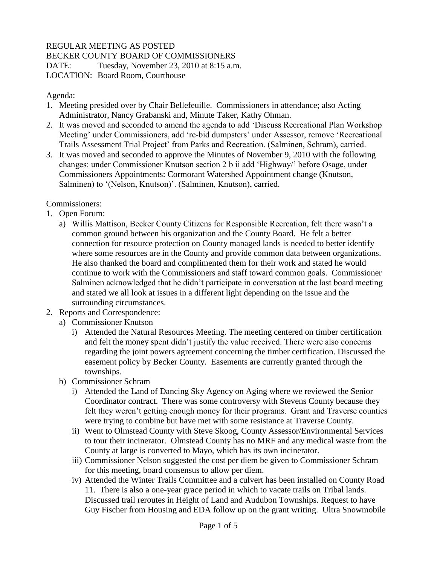## REGULAR MEETING AS POSTED

BECKER COUNTY BOARD OF COMMISSIONERS

DATE: Tuesday, November 23, 2010 at 8:15 a.m. LOCATION: Board Room, Courthouse

## Agenda:

- 1. Meeting presided over by Chair Bellefeuille. Commissioners in attendance; also Acting Administrator, Nancy Grabanski and, Minute Taker, Kathy Ohman.
- 2. It was moved and seconded to amend the agenda to add 'Discuss Recreational Plan Workshop Meeting' under Commissioners, add 're-bid dumpsters' under Assessor, remove 'Recreational Trails Assessment Trial Project' from Parks and Recreation. (Salminen, Schram), carried.
- 3. It was moved and seconded to approve the Minutes of November 9, 2010 with the following changes: under Commissioner Knutson section 2 b ii add 'Highway/' before Osage, under Commissioners Appointments: Cormorant Watershed Appointment change (Knutson, Salminen) to '(Nelson, Knutson)'. (Salminen, Knutson), carried.

## Commissioners:

- 1. Open Forum:
	- a) Willis Mattison, Becker County Citizens for Responsible Recreation, felt there wasn't a common ground between his organization and the County Board. He felt a better connection for resource protection on County managed lands is needed to better identify where some resources are in the County and provide common data between organizations. He also thanked the board and complimented them for their work and stated he would continue to work with the Commissioners and staff toward common goals. Commissioner Salminen acknowledged that he didn't participate in conversation at the last board meeting and stated we all look at issues in a different light depending on the issue and the surrounding circumstances.
- 2. Reports and Correspondence:
	- a) Commissioner Knutson
		- i) Attended the Natural Resources Meeting. The meeting centered on timber certification and felt the money spent didn't justify the value received. There were also concerns regarding the joint powers agreement concerning the timber certification. Discussed the easement policy by Becker County. Easements are currently granted through the townships.
	- b) Commissioner Schram
		- i) Attended the Land of Dancing Sky Agency on Aging where we reviewed the Senior Coordinator contract. There was some controversy with Stevens County because they felt they weren't getting enough money for their programs. Grant and Traverse counties were trying to combine but have met with some resistance at Traverse County.
		- ii) Went to Olmstead County with Steve Skoog, County Assessor/Environmental Services to tour their incinerator. Olmstead County has no MRF and any medical waste from the County at large is converted to Mayo, which has its own incinerator.
		- iii) Commissioner Nelson suggested the cost per diem be given to Commissioner Schram for this meeting, board consensus to allow per diem.
		- iv) Attended the Winter Trails Committee and a culvert has been installed on County Road 11. There is also a one-year grace period in which to vacate trails on Tribal lands. Discussed trail reroutes in Height of Land and Audubon Townships. Request to have Guy Fischer from Housing and EDA follow up on the grant writing. Ultra Snowmobile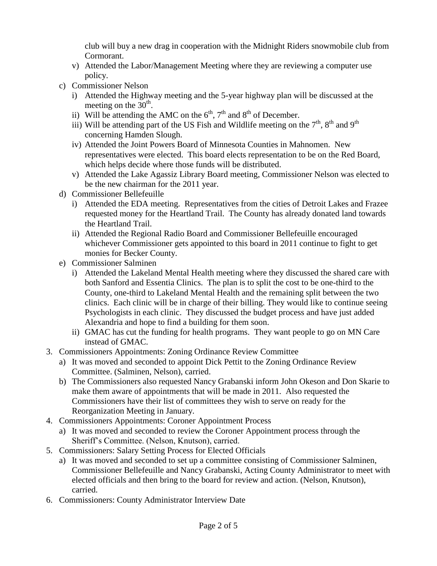club will buy a new drag in cooperation with the Midnight Riders snowmobile club from Cormorant.

- v) Attended the Labor/Management Meeting where they are reviewing a computer use policy.
- c) Commissioner Nelson
	- i) Attended the Highway meeting and the 5-year highway plan will be discussed at the meeting on the  $30<sup>th</sup>$ .
	- ii) Will be attending the AMC on the  $6<sup>th</sup>$ ,  $7<sup>th</sup>$  and  $8<sup>th</sup>$  of December.
	- iii) Will be attending part of the US Fish and Wildlife meeting on the  $7<sup>th</sup>$ ,  $8<sup>th</sup>$  and  $9<sup>th</sup>$ concerning Hamden Slough.
	- iv) Attended the Joint Powers Board of Minnesota Counties in Mahnomen. New representatives were elected. This board elects representation to be on the Red Board, which helps decide where those funds will be distributed.
	- v) Attended the Lake Agassiz Library Board meeting, Commissioner Nelson was elected to be the new chairman for the 2011 year.
- d) Commissioner Bellefeuille
	- i) Attended the EDA meeting. Representatives from the cities of Detroit Lakes and Frazee requested money for the Heartland Trail. The County has already donated land towards the Heartland Trail.
	- ii) Attended the Regional Radio Board and Commissioner Bellefeuille encouraged whichever Commissioner gets appointed to this board in 2011 continue to fight to get monies for Becker County.
- e) Commissioner Salminen
	- i) Attended the Lakeland Mental Health meeting where they discussed the shared care with both Sanford and Essentia Clinics. The plan is to split the cost to be one-third to the County, one-third to Lakeland Mental Health and the remaining split between the two clinics. Each clinic will be in charge of their billing. They would like to continue seeing Psychologists in each clinic. They discussed the budget process and have just added Alexandria and hope to find a building for them soon.
	- ii) GMAC has cut the funding for health programs. They want people to go on MN Care instead of GMAC.
- 3. Commissioners Appointments: Zoning Ordinance Review Committee
	- a) It was moved and seconded to appoint Dick Pettit to the Zoning Ordinance Review Committee. (Salminen, Nelson), carried.
	- b) The Commissioners also requested Nancy Grabanski inform John Okeson and Don Skarie to make them aware of appointments that will be made in 2011. Also requested the Commissioners have their list of committees they wish to serve on ready for the Reorganization Meeting in January.
- 4. Commissioners Appointments: Coroner Appointment Process
	- a) It was moved and seconded to review the Coroner Appointment process through the Sheriff's Committee. (Nelson, Knutson), carried.
- 5. Commissioners: Salary Setting Process for Elected Officials
	- a) It was moved and seconded to set up a committee consisting of Commissioner Salminen, Commissioner Bellefeuille and Nancy Grabanski, Acting County Administrator to meet with elected officials and then bring to the board for review and action. (Nelson, Knutson), carried.
- 6. Commissioners: County Administrator Interview Date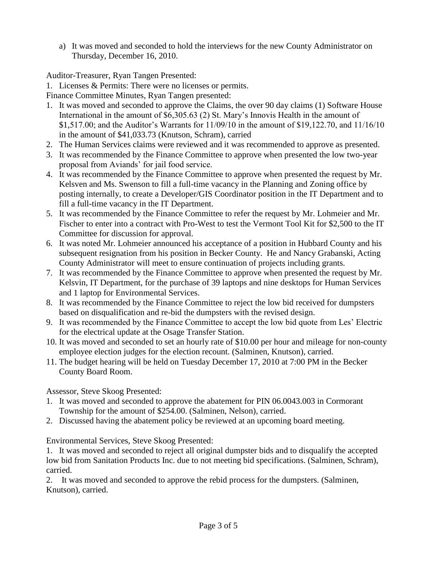a) It was moved and seconded to hold the interviews for the new County Administrator on Thursday, December 16, 2010.

Auditor-Treasurer, Ryan Tangen Presented:

1. Licenses & Permits: There were no licenses or permits.

Finance Committee Minutes, Ryan Tangen presented:

- 1. It was moved and seconded to approve the Claims, the over 90 day claims (1) Software House International in the amount of \$6,305.63 (2) St. Mary's Innovis Health in the amount of \$1,517.00; and the Auditor's Warrants for 11/09/10 in the amount of \$19,122.70, and 11/16/10 in the amount of \$41,033.73 (Knutson, Schram), carried
- 2. The Human Services claims were reviewed and it was recommended to approve as presented.
- 3. It was recommended by the Finance Committee to approve when presented the low two-year proposal from Aviands' for jail food service.
- 4. It was recommended by the Finance Committee to approve when presented the request by Mr. Kelsven and Ms. Swenson to fill a full-time vacancy in the Planning and Zoning office by posting internally, to create a Developer/GIS Coordinator position in the IT Department and to fill a full-time vacancy in the IT Department.
- 5. It was recommended by the Finance Committee to refer the request by Mr. Lohmeier and Mr. Fischer to enter into a contract with Pro-West to test the Vermont Tool Kit for \$2,500 to the IT Committee for discussion for approval.
- 6. It was noted Mr. Lohmeier announced his acceptance of a position in Hubbard County and his subsequent resignation from his position in Becker County. He and Nancy Grabanski, Acting County Administrator will meet to ensure continuation of projects including grants.
- 7. It was recommended by the Finance Committee to approve when presented the request by Mr. Kelsvin, IT Department, for the purchase of 39 laptops and nine desktops for Human Services and 1 laptop for Environmental Services.
- 8. It was recommended by the Finance Committee to reject the low bid received for dumpsters based on disqualification and re-bid the dumpsters with the revised design.
- 9. It was recommended by the Finance Committee to accept the low bid quote from Les' Electric for the electrical update at the Osage Transfer Station.
- 10. It was moved and seconded to set an hourly rate of \$10.00 per hour and mileage for non-county employee election judges for the election recount. (Salminen, Knutson), carried.
- 11. The budget hearing will be held on Tuesday December 17, 2010 at 7:00 PM in the Becker County Board Room.

Assessor, Steve Skoog Presented:

- 1. It was moved and seconded to approve the abatement for PIN 06.0043.003 in Cormorant Township for the amount of \$254.00. (Salminen, Nelson), carried.
- 2. Discussed having the abatement policy be reviewed at an upcoming board meeting.

Environmental Services, Steve Skoog Presented:

1. It was moved and seconded to reject all original dumpster bids and to disqualify the accepted low bid from Sanitation Products Inc. due to not meeting bid specifications. (Salminen, Schram), carried.

2. It was moved and seconded to approve the rebid process for the dumpsters. (Salminen, Knutson), carried.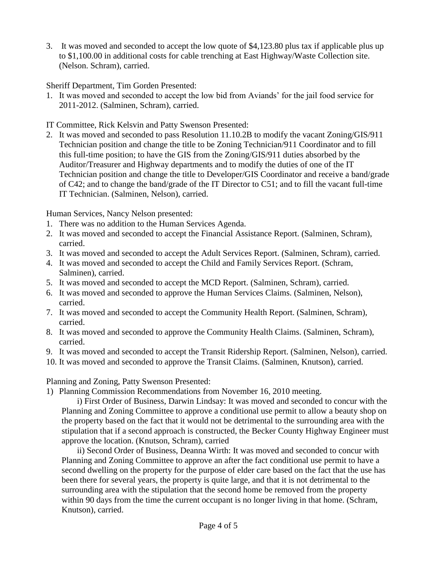3. It was moved and seconded to accept the low quote of \$4,123.80 plus tax if applicable plus up to \$1,100.00 in additional costs for cable trenching at East Highway/Waste Collection site. (Nelson. Schram), carried.

Sheriff Department, Tim Gorden Presented:

1. It was moved and seconded to accept the low bid from Aviands' for the jail food service for 2011-2012. (Salminen, Schram), carried.

IT Committee, Rick Kelsvin and Patty Swenson Presented:

2. It was moved and seconded to pass Resolution 11.10.2B to modify the vacant Zoning/GIS/911 Technician position and change the title to be Zoning Technician/911 Coordinator and to fill this full-time position; to have the GIS from the Zoning/GIS/911 duties absorbed by the Auditor/Treasurer and Highway departments and to modify the duties of one of the IT Technician position and change the title to Developer/GIS Coordinator and receive a band/grade of C42; and to change the band/grade of the IT Director to C51; and to fill the vacant full-time IT Technician. (Salminen, Nelson), carried.

Human Services, Nancy Nelson presented:

- 1. There was no addition to the Human Services Agenda.
- 2. It was moved and seconded to accept the Financial Assistance Report. (Salminen, Schram), carried.
- 3. It was moved and seconded to accept the Adult Services Report. (Salminen, Schram), carried.
- 4. It was moved and seconded to accept the Child and Family Services Report. (Schram, Salminen), carried.
- 5. It was moved and seconded to accept the MCD Report. (Salminen, Schram), carried.
- 6. It was moved and seconded to approve the Human Services Claims. (Salminen, Nelson), carried.
- 7. It was moved and seconded to accept the Community Health Report. (Salminen, Schram), carried.
- 8. It was moved and seconded to approve the Community Health Claims. (Salminen, Schram), carried.
- 9. It was moved and seconded to accept the Transit Ridership Report. (Salminen, Nelson), carried.
- 10. It was moved and seconded to approve the Transit Claims. (Salminen, Knutson), carried.

Planning and Zoning, Patty Swenson Presented:

1) Planning Commission Recommendations from November 16, 2010 meeting.

i) First Order of Business, Darwin Lindsay: It was moved and seconded to concur with the Planning and Zoning Committee to approve a conditional use permit to allow a beauty shop on the property based on the fact that it would not be detrimental to the surrounding area with the stipulation that if a second approach is constructed, the Becker County Highway Engineer must approve the location. (Knutson, Schram), carried

ii) Second Order of Business, Deanna Wirth: It was moved and seconded to concur with Planning and Zoning Committee to approve an after the fact conditional use permit to have a second dwelling on the property for the purpose of elder care based on the fact that the use has been there for several years, the property is quite large, and that it is not detrimental to the surrounding area with the stipulation that the second home be removed from the property within 90 days from the time the current occupant is no longer living in that home. (Schram, Knutson), carried.